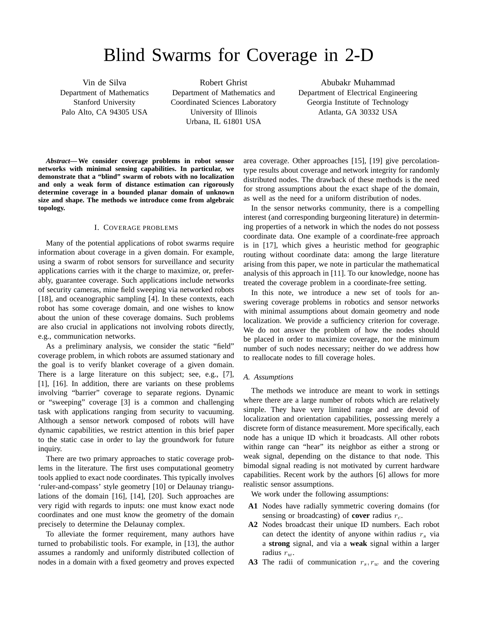# Blind Swarms for Coverage in 2-D

Vin de Silva Department of Mathematics Stanford University Palo Alto, CA 94305 USA

Robert Ghrist Department of Mathematics and Coordinated Sciences Laboratory University of Illinois Urbana, IL 61801 USA

Abubakr Muhammad Department of Electrical Engineering Georgia Institute of Technology Atlanta, GA 30332 USA

*Abstract***— We consider coverage problems in robot sensor networks with minimal sensing capabilities. In particular, we demonstrate that a "blind" swarm of robots with no localization and only a weak form of distance estimation can rigorously determine coverage in a bounded planar domain of unknown size and shape. The methods we introduce come from algebraic topology.**

# I. COVERAGE PROBLEMS

Many of the potential applications of robot swarms require information about coverage in a given domain. For example, using a swarm of robot sensors for surveillance and security applications carries with it the charge to maximize, or, preferably, guarantee coverage. Such applications include networks of security cameras, mine field sweeping via networked robots [18], and oceanographic sampling [4]. In these contexts, each robot has some coverage domain, and one wishes to know about the union of these coverage domains. Such problems are also crucial in applications not involving robots directly, e.g., communication networks.

As a preliminary analysis, we consider the static "field" coverage problem, in which robots are assumed stationary and the goal is to verify blanket coverage of a given domain. There is a large literature on this subject; see, e.g., [7], [1], [16]. In addition, there are variants on these problems involving "barrier" coverage to separate regions. Dynamic or "sweeping" coverage [3] is a common and challenging task with applications ranging from security to vacuuming. Although a sensor network composed of robots will have dynamic capabilities, we restrict attention in this brief paper to the static case in order to lay the groundwork for future inquiry.

There are two primary approaches to static coverage problems in the literature. The first uses computational geometry tools applied to exact node coordinates. This typically involves 'ruler-and-compass' style geometry [10] or Delaunay triangulations of the domain [16], [14], [20]. Such approaches are very rigid with regards to inputs: one must know exact node coordinates and one must know the geometry of the domain precisely to determine the Delaunay complex.

To alleviate the former requirement, many authors have turned to probabilistic tools. For example, in [13], the author assumes a randomly and uniformly distributed collection of nodes in a domain with a fixed geometry and proves expected

area coverage. Other approaches [15], [19] give percolationtype results about coverage and network integrity for randomly distributed nodes. The drawback of these methods is the need for strong assumptions about the exact shape of the domain, as well as the need for a uniform distribution of nodes.

In the sensor networks community, there is a compelling interest (and corresponding burgeoning literature) in determining properties of a network in which the nodes do not possess coordinate data. One example of a coordinate-free approach is in [17], which gives a heuristic method for geographic routing without coordinate data: among the large literature arising from this paper, we note in particular the mathematical analysis of this approach in [11]. To our knowledge, noone has treated the coverage problem in a coordinate-free setting.

In this note, we introduce a new set of tools for answering coverage problems in robotics and sensor networks with minimal assumptions about domain geometry and node localization. We provide a sufficiency criterion for coverage. We do not answer the problem of how the nodes should be placed in order to maximize coverage, nor the minimum number of such nodes necessary; neither do we address how to reallocate nodes to fill coverage holes.

# *A. Assumptions*

The methods we introduce are meant to work in settings where there are a large number of robots which are relatively simple. They have very limited range and are devoid of localization and orientation capabilities, possessing merely a discrete form of distance measurement. More specifically, each node has a unique ID which it broadcasts. All other robots within range can "hear" its neighbor as either a strong or weak signal, depending on the distance to that node. This bimodal signal reading is not motivated by current hardware capabilities. Recent work by the authors [6] allows for more realistic sensor assumptions.

We work under the following assumptions:

- **A1** Nodes have radially symmetric covering domains (for sensing or broadcasting) of **cover** radius  $r_c$ .
- **A2** Nodes broadcast their unique ID numbers. Each robot can detect the identity of anyone within radius  $r<sub>s</sub>$  via a **strong** signal, and via a **weak** signal within a larger radius  $r_w$ .
- A3 The radii of communication  $r_s$ ,  $r_w$  and the covering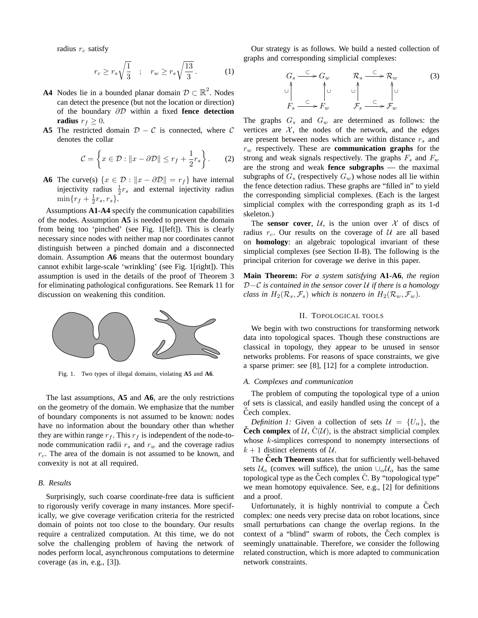radius  $r_c$  satisfy

$$
r_c \ge r_s \sqrt{\frac{1}{3}} \quad ; \quad r_w \ge r_s \sqrt{\frac{13}{3}} \,. \tag{1}
$$

- **A4** Nodes lie in a bounded planar domain  $\mathcal{D} \subset \mathbb{R}^2$ . Nodes can detect the presence (but not the location or direction) of the boundary ∂D within a fixed **fence detection radius**  $r_f > 0$ .
- **A5** The restricted domain  $D C$  is connected, where C denotes the collar

$$
\mathcal{C} = \left\{ x \in \mathcal{D} : \|x - \partial \mathcal{D}\| \le r_f + \frac{1}{2}r_s \right\}.
$$
 (2)

**A6** The curve(s)  $\{x \in \mathcal{D} : ||x - \partial \mathcal{D}|| = r_f\}$  have internal injectivity radius  $\frac{1}{2}r_s$  and external injectivity radius  $\min\{r_f + \frac{1}{2}r_s, r_s\}.$ 

Assumptions **A1**-**A4** specify the communication capabilities of the nodes. Assumption **A5** is needed to prevent the domain from being too 'pinched' (see Fig. 1[left]). This is clearly necessary since nodes with neither map nor coordinates cannot distinguish between a pinched domain and a disconnected domain. Assumption **A6** means that the outermost boundary cannot exhibit large-scale 'wrinkling' (see Fig. 1[right]). This assumption is used in the details of the proof of Theorem 3 for eliminating pathological configurations. See Remark 11 for discussion on weakening this condition.



Fig. 1. Two types of illegal domains, violating **A5** and **A6**.

The last assumptions, **A5** and **A6**, are the only restrictions on the geometry of the domain. We emphasize that the number of boundary components is not assumed to be known: nodes have no information about the boundary other than whether they are within range  $r_f$ . This  $r_f$  is independent of the node-tonode communication radii  $r_s$  and  $r_w$  and the coverage radius  $r_c$ . The area of the domain is not assumed to be known, and convexity is not at all required.

# *B. Results*

Surprisingly, such coarse coordinate-free data is sufficient to rigorously verify coverage in many instances. More specifically, we give coverage verification criteria for the restricted domain of points not too close to the boundary. Our results require a centralized computation. At this time, we do not solve the challenging problem of having the network of nodes perform local, asynchronous computations to determine coverage (as in, e.g., [3]).

Our strategy is as follows. We build a nested collection of graphs and corresponding simplicial complexes:

$$
G_s \xrightarrow{C} G_w \qquad \mathcal{R}_s \xrightarrow{C} \mathcal{R}_w \qquad (3)
$$
  

$$
\downarrow \qquad \qquad \downarrow \qquad \qquad \downarrow \qquad \qquad \downarrow
$$
  

$$
F_s \xrightarrow{C} F_w \qquad \qquad \mathcal{F}_s \xrightarrow{C} \mathcal{F}_w
$$

The graphs  $G_s$  and  $G_w$  are determined as follows: the vertices are  $X$ , the nodes of the network, and the edges are present between nodes which are within distance  $r_s$  and  $r_w$  respectively. These are **communication graphs** for the strong and weak signals respectively. The graphs  $F_s$  and  $F_w$ are the strong and weak **fence subgraphs** — the maximal subgraphs of  $G_s$  (respectively  $G_w$ ) whose nodes all lie within the fence detection radius. These graphs are "filled in" to yield the corresponding simplicial complexes. (Each is the largest simplicial complex with the corresponding graph as its 1-d skeleton.)

The **sensor cover**,  $U$ , is the union over  $X$  of discs of radius  $r_c$ . Our results on the coverage of U are all based on **homology**: an algebraic topological invariant of these simplicial complexes (see Section II-B). The following is the principal criterion for coverage we derive in this paper.

**Main Theorem:** *For a system satisfying* **A1***-***A6***, the region* D−C *is contained in the sensor cover* U *if there is a homology class in*  $H_2(\mathcal{R}_s, \mathcal{F}_s)$  *which is nonzero in*  $H_2(\mathcal{R}_w, \mathcal{F}_w)$ *.* 

## II. TOPOLOGICAL TOOLS

We begin with two constructions for transforming network data into topological spaces. Though these constructions are classical in topology, they appear to be unused in sensor networks problems. For reasons of space constraints, we give a sparse primer: see [8], [12] for a complete introduction.

## *A. Complexes and communication*

The problem of computing the topological type of a union of sets is classical, and easily handled using the concept of a Čech complex.

*Definition 1:* Given a collection of sets  $\mathcal{U} = \{U_{\alpha}\}\$ , the **Čech complex** of  $U$ ,  $\check{C}(U)$ , is the abstract simplicial complex whose k-simplices correspond to nonempty intersections of  $k + 1$  distinct elements of  $U$ .

The **Cech Theorem** states that for sufficiently well-behaved sets  $U_{\alpha}$  (convex will suffice), the union  $\cup_{\alpha} U_{\alpha}$  has the same topological type as the Čech complex  $\dot{C}$ . By "topological type" we mean homotopy equivalence. See, e.g., [2] for definitions and a proof.

Unfortunately, it is highly nontrivial to compute a Cech complex: one needs very precise data on robot locations, since small perturbations can change the overlap regions. In the context of a "blind" swarm of robots, the Čech complex is seemingly unattainable. Therefore, we consider the following related construction, which is more adapted to communication network constraints.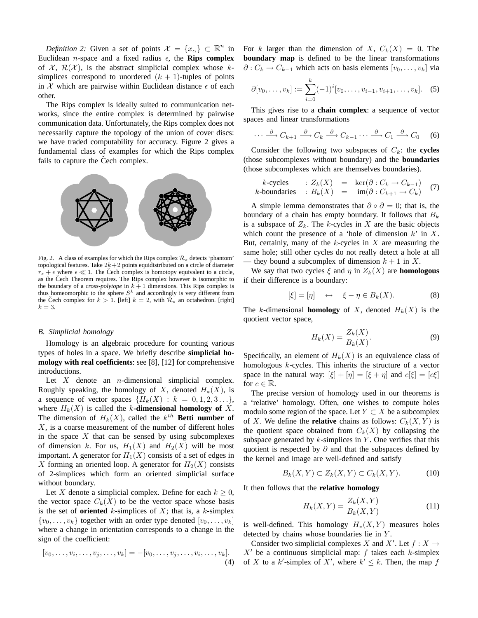*Definition 2:* Given a set of points  $\mathcal{X} = \{x_{\alpha}\} \subset \mathbb{R}^n$  in Euclidean *n*-space and a fixed radius  $\epsilon$ , the **Rips complex** of  $\mathcal{X}, \mathcal{R}(\mathcal{X})$ , is the abstract simplicial complex whose ksimplices correspond to unordered  $(k + 1)$ -tuples of points in X which are pairwise within Euclidean distance  $\epsilon$  of each other.

The Rips complex is ideally suited to communication networks, since the entire complex is determined by pairwise communication data. Unfortunately, the Rips complex does not necessarily capture the topology of the union of cover discs: we have traded computability for accuracy. Figure 2 gives a fundamental class of examples for which the Rips complex fails to capture the Cech complex.



Fig. 2. A class of examples for which the Rips complex  $\mathcal{R}_s$  detects 'phantom' topological features. Take  $2k+2$  points equidistributed on a circle of diameter  $r_s + \epsilon$  where  $\epsilon \ll 1$ . The Čech complex is homotopy equivalent to a circle, as the Čech Theorem requires. The Rips complex however is isomorphic to the boundary of a *cross-polytope* in  $k + 1$  dimensions. This Rips complex is thus homeomorphic to the sphere  $S^k$  and accordingly is very different from the Čech complex for  $k > 1$ . [left]  $k = 2$ , with  $\mathcal{R}_s$  an octahedron. [right]  $k = 3$ .

### *B. Simplicial homology*

Homology is an algebraic procedure for counting various types of holes in a space. We briefly describe **simplicial homology with real coefficients**: see [8], [12] for comprehensive introductions.

Let  $X$  denote an *n*-dimensional simplicial complex. Roughly speaking, the homology of X, denoted  $H_*(X)$ , is a sequence of vector spaces  $\{H_k(X): k = 0, 1, 2, 3 \ldots\},\$ where  $H_k(X)$  is called the k-**dimensional homology of** X. The dimension of  $H_k(X)$ , called the  $k^{th}$  **Betti number of**  $X$ , is a coarse measurement of the number of different holes in the space  $X$  that can be sensed by using subcomplexes of dimension k. For us,  $H_1(X)$  and  $H_2(X)$  will be most important. A generator for  $H_1(X)$  consists of a set of edges in X forming an oriented loop. A generator for  $H_2(X)$  consists of 2-simplices which form an oriented simplicial surface without boundary.

Let X denote a simplicial complex. Define for each  $k \geq 0$ , the vector space  $C_k(X)$  to be the vector space whose basis is the set of **oriented**  $k$ -simplices of  $X$ ; that is, a  $k$ -simplex  $\{v_0, \ldots, v_k\}$  together with an order type denoted  $[v_0, \ldots, v_k]$ where a change in orientation corresponds to a change in the sign of the coefficient:

$$
[v_0,\ldots,v_i,\ldots,v_j,\ldots,v_k] = -[v_0,\ldots,v_j,\ldots,v_i,\ldots,v_k].
$$
  
(4)

For k larger than the dimension of X,  $C_k(X) = 0$ . The **boundary map** is defined to be the linear transformations  $\partial$  :  $C_k \rightarrow C_{k-1}$  which acts on basis elements  $[v_0, \ldots, v_k]$  via

$$
\partial [v_0, \dots, v_k] := \sum_{i=0}^k (-1)^i [v_0, \dots, v_{i-1}, v_{i+1}, \dots, v_k].
$$
 (5)

This gives rise to a **chain complex**: a sequence of vector spaces and linear transformations

$$
\cdots \xrightarrow{\partial} C_{k+1} \xrightarrow{\partial} C_k \xrightarrow{\partial} C_{k-1} \cdots \xrightarrow{\partial} C_1 \xrightarrow{\partial} C_0 \qquad (6)
$$

Consider the following two subspaces of  $C_k$ : the **cycles** (those subcomplexes without boundary) and the **boundaries** (those subcomplexes which are themselves boundaries).

k-cycles : 
$$
Z_k(X) = \ker(\partial : C_k \to C_{k-1})
$$
 (7)  
k-boundaries :  $B_k(X) = \text{im}(\partial : C_{k+1} \to C_k)$ 

A simple lemma demonstrates that  $\partial \circ \partial = 0$ ; that is, the boundary of a chain has empty boundary. It follows that  $B_k$ is a subspace of  $Z_k$ . The k-cycles in X are the basic objects which count the presence of a 'hole of dimension  $k$ ' in  $X$ . But, certainly, many of the  $k$ -cycles in  $X$  are measuring the same hole; still other cycles do not really detect a hole at all - they bound a subcomplex of dimension  $k + 1$  in X.

We say that two cycles  $\xi$  and  $\eta$  in  $Z_k(X)$  are **homologous** if their difference is a boundary:

$$
[\xi] = [\eta] \quad \leftrightarrow \quad \xi - \eta \in B_k(X). \tag{8}
$$

The k-dimensional **homology** of X, denoted  $H_k(X)$  is the quotient vector space,

$$
H_k(X) = \frac{Z_k(X)}{B_k(X)}.\t\t(9)
$$

Specifically, an element of  $H_k(X)$  is an equivalence class of homologous k-cycles. This inherits the structure of a vector space in the natural way:  $[\xi] + [\eta] = [\xi + \eta]$  and  $c[\xi] = [c\xi]$ for  $c \in \mathbb{R}$ .

The precise version of homology used in our theorems is a 'relative' homology. Often, one wishes to compute holes modulo some region of the space. Let  $Y \subset X$  be a subcomplex of X. We define the **relative** chains as follows:  $C_k(X, Y)$  is the quotient space obtained from  $C_k(X)$  by collapsing the subspace generated by  $k$ -simplices in Y. One verifies that this quotient is respected by  $\partial$  and that the subspaces defined by the kernel and image are well-defined and satisfy

$$
B_k(X,Y) \subset Z_k(X,Y) \subset C_k(X,Y). \tag{10}
$$

It then follows that the **relative homology**

$$
H_k(X,Y) = \frac{Z_k(X,Y)}{B_k(X,Y)}
$$
(11)

is well-defined. This homology  $H_*(X, Y)$  measures holes detected by chains whose boundaries lie in Y .

Consider two simplicial complexes X and X'. Let  $f : X \to Y$  $X'$  be a continuous simplicial map: f takes each k-simplex of X to a k'-simplex of X', where  $k' \leq k$ . Then, the map f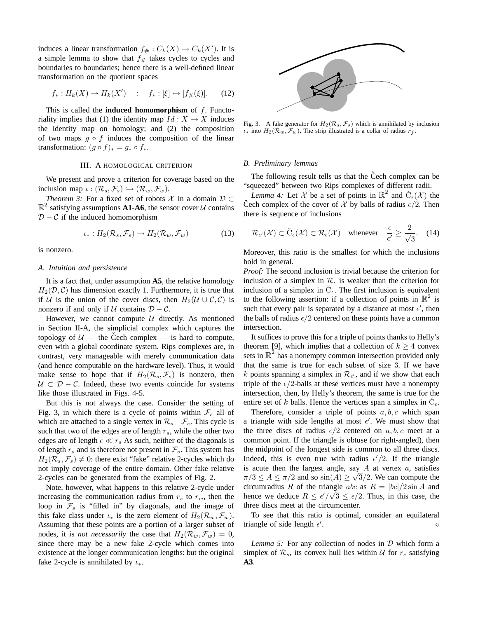induces a linear transformation  $f# : C_k(X) \to C_k(X')$ . It is a simple lemma to show that  $f_{\#}$  takes cycles to cycles and boundaries to boundaries; hence there is a well-defined linear transformation on the quotient spaces

$$
f_*: H_k(X) \to H_k(X')
$$
 :  $f_*: [\xi] \mapsto [f_{\#}(\xi)].$  (12)

This is called the **induced homomorphism** of f. Functoriality implies that (1) the identity map  $Id: X \to X$  induces the identity map on homology; and (2) the composition of two maps  $g \circ f$  induces the composition of the linear transformation:  $(g \circ f)_* = g_* \circ f_*$ .

#### III. A HOMOLOGICAL CRITERION

We present and prove a criterion for coverage based on the inclusion map  $\iota : (\mathcal{R}_s, \mathcal{F}_s) \hookrightarrow (\mathcal{R}_w, \mathcal{F}_w)$ .

*Theorem 3:* For a fixed set of robots  $\mathcal X$  in a domain  $\mathcal D \subset$  $\mathbb{R}^2$  satisfying assumptions **A1-A6**, the sensor cover U contains  $D - C$  if the induced homomorphism

$$
\iota_*: H_2(\mathcal{R}_s, \mathcal{F}_s) \to H_2(\mathcal{R}_w, \mathcal{F}_w)
$$
 (13)

is nonzero.

### *A. Intuition and persistence*

It is a fact that, under assumption **A5**, the relative homology  $H_2(\mathcal{D}, \mathcal{C})$  has dimension exactly 1. Furthermore, it is true that if U is the union of the cover discs, then  $H_2(\mathcal{U} \cup \mathcal{C}, \mathcal{C})$  is nonzero if and only if  $U$  contains  $D - C$ .

However, we cannot compute  $U$  directly. As mentioned in Section II-A, the simplicial complex which captures the topology of  $U$  — the Čech complex — is hard to compute, even with a global coordinate system. Rips complexes are, in contrast, very manageable with merely communication data (and hence computable on the hardware level). Thus, it would make sense to hope that if  $H_2(\mathcal{R}_s, \mathcal{F}_s)$  is nonzero, then  $U \subset \mathcal{D} - \mathcal{C}$ . Indeed, these two events coincide for systems like those illustrated in Figs. 4-5.

But this is not always the case. Consider the setting of Fig. 3, in which there is a cycle of points within  $\mathcal{F}_s$  all of which are attached to a single vertex in  $\mathcal{R}_s - \mathcal{F}_s$ . This cycle is such that two of the edges are of length  $r_s$ , while the other two edges are of length  $\epsilon \ll r_s$  As such, neither of the diagonals is of length  $r_s$  and is therefore not present in  $\mathcal{F}_s$ . This system has  $H_2(\mathcal{R}_s, \mathcal{F}_s) \neq 0$ : there exist "fake" relative 2-cycles which do not imply coverage of the entire domain. Other fake relative 2-cycles can be generated from the examples of Fig. 2.

Note, however, what happens to this relative 2-cycle under increasing the communication radius from  $r_s$  to  $r_w$ , then the loop in  $\mathcal{F}_s$  is "filled in" by diagonals, and the image of this fake class under  $\iota_*$  is the zero element of  $H_2(\mathcal{R}_w, \mathcal{F}_w)$ . Assuming that these points are a portion of a larger subset of nodes, it is *not necessarily* the case that  $H_2(\mathcal{R}_w, \mathcal{F}_w) = 0$ , since there may be a new fake 2-cycle which comes into existence at the longer communication lengths: but the original fake 2-cycle is annihilated by  $\iota_*$ .



Fig. 3. A fake generator for  $H_2(\mathcal{R}_s, \mathcal{F}_s)$  which is annihilated by inclusion  $\iota_*$  into  $H_2(\mathcal{R}_w, \mathcal{F}_w)$ . The strip illustrated is a collar of radius  $r_f$ .

## *B. Preliminary lemmas*

The following result tells us that the Čech complex can be "squeezed" between two Rips complexes of different radii.

*Lemma 4:* Let X be a set of points in  $\mathbb{R}^2$  and  $\check{C}_\epsilon(\mathcal{X})$  the Čech complex of the cover of  $\mathcal X$  by balls of radius  $\epsilon/2$ . Then there is sequence of inclusions

$$
\mathcal{R}_{\epsilon'}(\mathcal{X}) \subset \check{C}_{\epsilon}(\mathcal{X}) \subset \mathcal{R}_{\epsilon}(\mathcal{X}) \quad \text{whenever} \quad \frac{\epsilon}{\epsilon'} \ge \frac{2}{\sqrt{3}}. \quad (14)
$$

Moreover, this ratio is the smallest for which the inclusions hold in general.

*Proof:* The second inclusion is trivial because the criterion for inclusion of a simplex in  $\mathcal{R}_{\epsilon}$  is weaker than the criterion for inclusion of a simplex in  $\check{C}_{\epsilon}$ . The first inclusion is equivalent to the following assertion: if a collection of points in  $\mathbb{R}^2$  is such that every pair is separated by a distance at most  $\epsilon'$ , then the balls of radius  $\epsilon/2$  centered on these points have a common intersection.

It suffices to prove this for a triple of points thanks to Helly's theorem [9], which implies that a collection of  $k \geq 4$  convex sets in  $\mathbb{R}^2$  has a nonempty common intersection provided only that the same is true for each subset of size 3. If we have k points spanning a simplex in  $\mathcal{R}_{\epsilon'}$ , and if we show that each triple of the  $\epsilon/2$ -balls at these vertices must have a nonempty intersection, then, by Helly's theorem, the same is true for the entire set of k balls. Hence the vertices span a simplex in  $\check{C}_{\epsilon}$ .

Therefore, consider a triple of points  $a, b, c$  which span a triangle with side lengths at most  $\epsilon'$ . We must show that the three discs of radius  $\epsilon/2$  centered on a, b, c meet at a common point. If the triangle is obtuse (or right-angled), then the midpoint of the longest side is common to all three discs. Indeed, this is even true with radius  $\epsilon'/2$ . If the triangle is acute then the largest angle, say  $A$  at vertex  $a$ , satisfies  $\pi/3 \le A \le \pi/2$  and so  $\sin(A) \ge \sqrt{3}/2$ . We can compute the circumradius R of the triangle abc as  $R = |bc|/2 \sin A$  and hence we deduce  $R \leq \frac{\epsilon'}{\sqrt{3}} \leq \frac{\epsilon}{2}$ . Thus, in this case, the three discs meet at the circumcenter.

To see that this ratio is optimal, consider an equilateral triangle of side length  $\epsilon'$  $\bullet$   $\circ$ 

*Lemma 5:* For any collection of nodes in D which form a simplex of  $\mathcal{R}_s$ , its convex hull lies within U for  $r_c$  satisfying **A3**.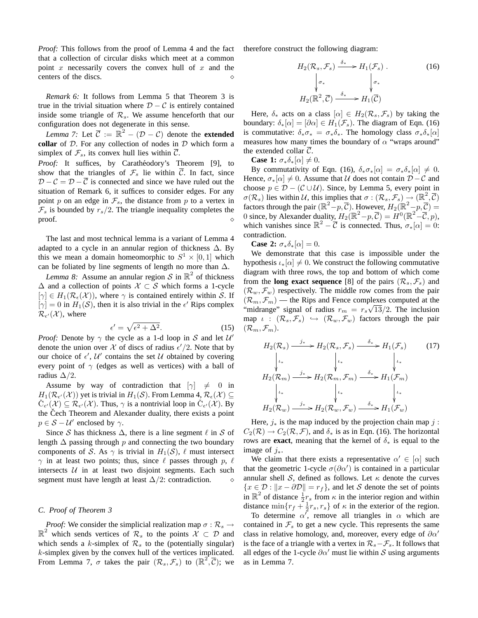*Proof:* This follows from the proof of Lemma 4 and the fact that a collection of circular disks which meet at a common point  $x$  necessarily covers the convex hull of  $x$  and the centers of the discs.  $\Diamond$ 

*Remark 6:* It follows from Lemma 5 that Theorem 3 is true in the trivial situation where  $D - C$  is entirely contained inside some triangle of  $\mathcal{R}_s$ . We assume henceforth that our configuration does not degenerate in this sense.

*Lemma 7:* Let  $\overline{C} := \mathbb{R}^2 - (\mathcal{D} - \mathcal{C})$  denote the **extended collar** of D. For any collection of nodes in D which form a simplex of  $\mathcal{F}_s$ , its convex hull lies within  $\overline{\mathcal{C}}$ .

Proof: It suffices, by Carathéodory's Theorem [9], to show that the triangles of  $\mathcal{F}_s$  lie within  $\overline{\mathcal{C}}$ . In fact, since  $D - C = D - \overline{C}$  is connected and since we have ruled out the situation of Remark 6, it suffices to consider edges. For any point p on an edge in  $\mathcal{F}_s$ , the distance from p to a vertex in  $\mathcal{F}_s$  is bounded by  $r_s/2$ . The triangle inequality completes the proof. proof.  $\Diamond$ 

The last and most technical lemma is a variant of Lemma 4 adapted to a cycle in an annular region of thickness  $\Delta$ . By this we mean a domain homeomorphic to  $S^1 \times [0,1]$  which can be foliated by line segments of length no more than  $\Delta$ .

*Lemma 8:* Assume an annular region  $S$  in  $\mathbb{R}^2$  of thickness  $\Delta$  and a collection of points  $\mathcal{X} \subset \mathcal{S}$  which forms a 1-cycle  $[\gamma] \in H_1(\mathcal{R}_{\epsilon}(\mathcal{X}))$ , where  $\gamma$  is contained entirely within S. If  $[\gamma] = 0$  in  $H_1(\mathcal{S})$ , then it is also trivial in the  $\epsilon'$  Rips complex  $\mathcal{R}_{\epsilon'}(\mathcal{X})$ , where

$$
\epsilon' = \sqrt{\epsilon^2 + \Delta^2}.\tag{15}
$$

*Proof:* Denote by  $\gamma$  the cycle as a 1-d loop in S and let  $\mathcal{U}'$ denote the union over X of discs of radius  $\epsilon'/2$ . Note that by our choice of  $\epsilon'$ ,  $\mathcal{U}'$  contains the set  $\mathcal U$  obtained by covering every point of  $\gamma$  (edges as well as vertices) with a ball of radius  $\Delta/2$ .

Assume by way of contradiction that  $[\gamma] \neq 0$  in  $H_1(\mathcal{R}_{\epsilon'}(\mathcal{X}))$  yet is trivial in  $H_1(\mathcal{S})$ . From Lemma  $4, \mathcal{R}_{\epsilon}(\mathcal{X}) \subseteq$  $\check{C}_{\epsilon'}(\mathcal{X}) \subseteq \mathcal{R}_{\epsilon'}(\mathcal{X})$ . Thus,  $\gamma$  is a nontrivial loop in  $\check{C}_{\epsilon'}(\mathcal{X})$ . By the Cech Theorem and Alexander duality, there exists a point  $p \in S - U'$  enclosed by  $\gamma$ .

Since S has thickness  $\Delta$ , there is a line segment  $\ell$  in S of length  $\Delta$  passing through p and connecting the two boundary components of S. As  $\gamma$  is trivial in  $H_1(S)$ ,  $\ell$  must intersect  $\gamma$  in at least two points; thus, since  $\ell$  passes through p,  $\ell$ intersects *U* in at least two disjoint segments. Each such segment must have length at least  $\Delta/2$ : contradiction. segment must have length at least  $\Delta/2$ : contradiction.

## *C. Proof of Theorem 3*

*Proof:* We consider the simplicial realization map  $\sigma : \mathcal{R}_s \rightarrow$  $\mathbb{R}^2$  which sends vertices of  $\mathcal{R}_s$  to the points  $\mathcal{X} \subset \mathcal{D}$  and which sends a k-simplex of  $\mathcal{R}_s$  to the (potentially singular) k-simplex given by the convex hull of the vertices implicated. From Lemma 7,  $\sigma$  takes the pair  $(\mathcal{R}_s, \mathcal{F}_s)$  to  $(\mathbb{R}^2, \overline{\mathcal{C}})$ ; we therefore construct the following diagram:

$$
H_2(\mathcal{R}_s, \mathcal{F}_s) \xrightarrow{\delta_*} H_1(\mathcal{F}_s) .
$$
\n
$$
\downarrow \sigma_*
$$
\n
$$
H_2(\mathbb{R}^2, \overline{C}) \xrightarrow{\delta_*} H_1(\overline{C})
$$
\n
$$
(16)
$$

Here,  $\delta_*$  acts on a class  $[\alpha] \in H_2(\mathcal{R}_s, \mathcal{F}_s)$  by taking the boundary:  $\delta_*[\alpha] = [\partial \alpha] \in H_1(\mathcal{F}_s)$ . The diagram of Eqn. (16) is commutative:  $\delta_* \sigma_* = \sigma_* \delta_*$ . The homology class  $\sigma_* \delta_*[\alpha]$ measures how many times the boundary of  $\alpha$  "wraps around" the extended collar  $\overline{C}$ .

**Case 1:**  $\sigma_* \delta_*[\alpha] \neq 0$ .

By commutativity of Eqn. (16),  $\delta_* \sigma_*[\alpha] = \sigma_* \delta_*[\alpha] \neq 0$ . Hence,  $\sigma_*[\alpha] \neq 0$ . Assume that U does not contain  $\mathcal{D} - \mathcal{C}$  and choose  $p \in \mathcal{D} - (\mathcal{C} \cup \mathcal{U})$ . Since, by Lemma 5, every point in  $\sigma(\mathcal{R}_s)$  lies within U, this implies that  $\sigma : (\mathcal{R}_s, \mathcal{F}_s) \to (\mathbb{R}^2, \overline{\mathcal{C}})$ factors through the pair  $(\mathbb{R}^2 - p, \overline{c})$ . However,  $H_2(\mathbb{R}^2 - p, \overline{c}) =$ 0 since, by Alexander duality,  $H_2(\mathbb{R}^2 - p, \overline{C}) = H^0(\mathbb{R}^2 - \overline{C}, p)$ , which vanishes since  $\mathbb{R}^2 - \overline{\mathcal{C}}$  is connected. Thus,  $\sigma_*[\alpha] = 0$ : contradiction.

**Case 2:**  $\sigma_* \delta_*[\alpha] = 0$ .

We demonstrate that this case is impossible under the hypothesis  $\iota_*[\alpha] \neq 0$ . We construct the following commutative diagram with three rows, the top and bottom of which come from the **long exact sequence** [8] of the pairs  $(\mathcal{R}_s, \mathcal{F}_s)$  and  $(\mathcal{R}_w, \mathcal{F}_w)$  respectively. The middle row comes from the pair  $(\mathcal{R}_m, \mathcal{F}_m)$  — the Rips and Fence complexes computed at the "midrange" signal of radius  $r_m = r_s \sqrt{13}/2$ . The inclusion map  $\iota$  :  $(\mathcal{R}_s, \mathcal{F}_s) \hookrightarrow (\mathcal{R}_w, \mathcal{F}_w)$  factors through the pair  $(\mathcal{R}_m, \mathcal{F}_m).$ 

$$
H_2(\mathcal{R}_s) \xrightarrow{j_*} H_2(\mathcal{R}_s, \mathcal{F}_s) \xrightarrow{\delta_*} H_1(\mathcal{F}_s) \qquad (17)
$$
  
\n
$$
\downarrow \qquad \qquad \downarrow \qquad \qquad \downarrow \qquad \qquad \downarrow \qquad \downarrow \qquad (17)
$$
  
\n
$$
H_2(\mathcal{R}_m) \xrightarrow{j_*} H_2(\mathcal{R}_m, \mathcal{F}_m) \xrightarrow{\delta_*} H_1(\mathcal{F}_m)
$$
  
\n
$$
\downarrow \qquad \qquad \downarrow \qquad \qquad \downarrow \qquad \qquad \downarrow \qquad \downarrow \qquad \downarrow \qquad \downarrow \qquad \downarrow \qquad \downarrow \qquad \downarrow \qquad \downarrow \qquad \downarrow \qquad \downarrow \qquad \downarrow \qquad \downarrow \qquad \downarrow \qquad \downarrow \qquad \downarrow \qquad \downarrow \qquad \downarrow \qquad \downarrow \qquad \downarrow \qquad \downarrow \qquad \downarrow \qquad \downarrow \qquad \downarrow \qquad \downarrow \qquad \downarrow \qquad \downarrow \qquad \downarrow \qquad \downarrow \qquad \downarrow \qquad \downarrow \qquad \downarrow \qquad \downarrow \qquad \downarrow \qquad \downarrow \qquad \downarrow \qquad \downarrow \qquad \downarrow \qquad \downarrow \qquad \downarrow \qquad \downarrow \qquad \downarrow \qquad \downarrow \qquad \downarrow \qquad \downarrow \qquad \downarrow \qquad \downarrow \qquad \downarrow \qquad \downarrow \qquad \downarrow \qquad \downarrow \qquad \downarrow \qquad \downarrow \qquad \downarrow \qquad \downarrow \qquad \downarrow \qquad \downarrow \qquad \downarrow \qquad \downarrow \qquad \downarrow \qquad \downarrow \qquad \downarrow \qquad \downarrow \qquad \downarrow \qquad \downarrow \qquad \downarrow \qquad \downarrow \qquad \downarrow \qquad \downarrow \qquad \downarrow \qquad \downarrow \qquad \downarrow \qquad \downarrow \qquad \downarrow \qquad \downarrow \qquad \downarrow \qquad \downarrow \qquad \downarrow \qquad \downarrow \qquad \downarrow \qquad \downarrow \qquad \downarrow \qquad \downarrow \qquad \downarrow \qquad \downarrow \qquad \downarrow \qquad \downarrow \qquad \downarrow \qquad \downarrow \qquad \downarrow \qquad \downarrow \qquad \downarrow
$$

Here,  $j_*$  is the map induced by the projection chain map j:  $C_2(\mathcal{R}) \to C_2(\mathcal{R}, \mathcal{F})$ , and  $\delta_*$  is as in Eqn. (16). The horizontal rows are **exact**, meaning that the kernel of  $\delta_*$  is equal to the image of  $j_{*}$ .

We claim that there exists a representative  $\alpha' \in [\alpha]$  such that the geometric 1-cycle  $\sigma(\partial \alpha')$  is contained in a particular annular shell S, defined as follows. Let  $\kappa$  denote the curves  ${x \in \mathcal{D} : ||x - \partial \mathcal{D}|| = r_f},$  and let S denote the set of points in  $\mathbb{R}^2$  of distance  $\frac{1}{2}r_s$  from  $\kappa$  in the interior region and within distance  $\min\{r_f + \frac{1}{2}r_s, r_s\}$  of  $\kappa$  in the exterior of the region.

To determine  $\alpha'$ , remove all triangles in  $\alpha$  which are contained in  $\mathcal{F}_s$  to get a new cycle. This represents the same class in relative homology, and, moreover, every edge of  $\partial \alpha'$ is the face of a triangle with a vertex in  $\mathcal{R}_s-\mathcal{F}_s$ . It follows that all edges of the 1-cycle  $\partial \alpha'$  must lie within S using arguments as in Lemma 7.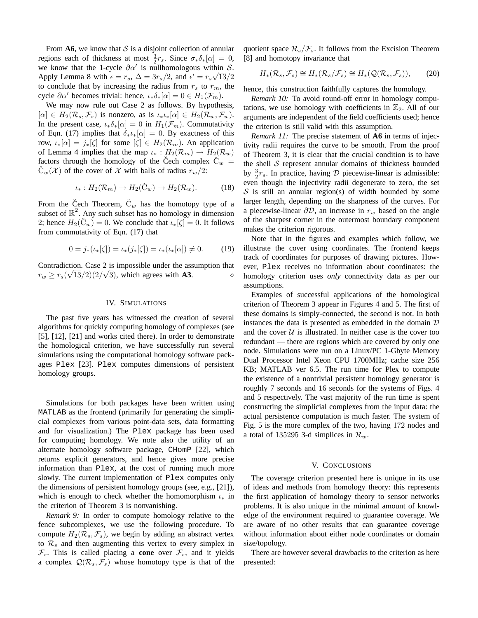From  $\mathbf{A6}$ , we know that S is a disjoint collection of annular regions each of thickness at most  $\frac{3}{2}r_s$ . Since  $\sigma_*\delta_*[\alpha] = 0$ , we know that the 1-cycle  $\partial \alpha'$  is nullhomologous within S. Apply Lemma 8 with  $\epsilon = r_s$ ,  $\Delta = 3r_s/2$ , and  $\epsilon' = r_s\sqrt{13}/2$ to conclude that by increasing the radius from  $r_s$  to  $r_m$ , the cycle  $\partial \alpha'$  becomes trivial: hence,  $\iota_* \delta_*[\alpha] = 0 \in H_1(\mathcal{F}_m)$ .

We may now rule out Case 2 as follows. By hypothesis,  $[\alpha] \in H_2(\mathcal{R}_s, \mathcal{F}_s)$  is nonzero, as is  $\iota_* \iota_*[\alpha] \in H_2(\mathcal{R}_w, \mathcal{F}_w)$ . In the present case,  $\iota_* \delta_*[\alpha] = 0$  in  $H_1(\mathcal{F}_m)$ . Commutativity of Eqn. (17) implies that  $\delta_* \iota_*[\alpha] = 0$ . By exactness of this row,  $\iota_*[\alpha] = j_*[\zeta]$  for some  $[\zeta] \in H_2(\mathcal{R}_m)$ . An application of Lemma 4 implies that the map  $\iota_* : H_2(\mathcal{R}_m) \to H_2(\mathcal{R}_w)$ factors through the homology of the Čech complex  $\dot{C}_w$  =  $C_w(\mathcal{X})$  of the cover of X with balls of radius  $r_w/2$ :

$$
\iota_*: H_2(\mathcal{R}_m) \to H_2(\check{C}_w) \to H_2(\mathcal{R}_w). \tag{18}
$$

From the Čech Theorem,  $\check{C}_w$  has the homotopy type of a subset of  $\mathbb{R}^2$ . Any such subset has no homology in dimension 2; hence  $H_2(\check{C}_w) = 0$ . We conclude that  $\iota_*[\zeta] = 0$ . It follows from commutativity of Eqn. (17) that

$$
0 = j_*(\iota_*[\zeta]) = \iota_*\big(j_*[\zeta]\big) = \iota_*\big(\iota_*[\alpha]\big) \neq 0. \tag{19}
$$

Contradiction. Case 2 is impossible under the assumption that r<sup>w</sup> ≥ rs( √ 13/2)(2/ √ 3), which agrees with **A3**. ⋄

## IV. SIMULATIONS

The past five years has witnessed the creation of several algorithms for quickly computing homology of complexes (see [5], [12], [21] and works cited there). In order to demonstrate the homological criterion, we have successfully run several simulations using the computational homology software packages Plex [23]. Plex computes dimensions of persistent homology groups.

Simulations for both packages have been written using MATLAB as the frontend (primarily for generating the simplicial complexes from various point-data sets, data formatting and for visualization.) The Plex package has been used for computing homology. We note also the utility of an alternate homology software package, CHomP [22], which returns explicit generators, and hence gives more precise information than Plex, at the cost of running much more slowly. The current implementation of Plex computes only the dimensions of persistent homology groups (see, e.g., [21]), which is enough to check whether the homomorphism  $\iota_*$  in the criterion of Theorem 3 is nonvanishing.

*Remark 9:* In order to compute homology relative to the fence subcomplexes, we use the following procedure. To compute  $H_2(\mathcal{R}_s, \mathcal{F}_s)$ , we begin by adding an abstract vertex to  $\mathcal{R}_s$  and then augmenting this vertex to every simplex in  $\mathcal{F}_s$ . This is called placing a **cone** over  $\mathcal{F}_s$ , and it yields a complex  $\mathcal{Q}(\mathcal{R}_s, \mathcal{F}_s)$  whose homotopy type is that of the

quotient space  $\mathcal{R}_s/\mathcal{F}_s$ . It follows from the Excision Theorem [8] and homotopy invariance that

$$
H_*(\mathcal{R}_s, \mathcal{F}_s) \cong H_*(\mathcal{R}_s/\mathcal{F}_s) \cong H_*(\mathcal{Q}(\mathcal{R}_s, \mathcal{F}_s)),\qquad(20)
$$

hence, this construction faithfully captures the homology.

*Remark 10:* To avoid round-off error in homology computations, we use homology with coefficients in  $\mathbb{Z}_2$ . All of our arguments are independent of the field coefficients used; hence the criterion is still valid with this assumption.

*Remark 11:* The precise statement of **A6** in terms of injectivity radii requires the curve to be smooth. From the proof of Theorem 3, it is clear that the crucial condition is to have the shell  $S$  represent annular domains of thickness bounded by  $\frac{3}{2}r_s$ . In practice, having D piecewise-linear is admissible: even though the injectivity radii degenerate to zero, the set  $S$  is still an annular region(s) of width bounded by some larger length, depending on the sharpness of the curves. For a piecewise-linear  $\partial \mathcal{D}$ , an increase in  $r_w$  based on the angle of the sharpest corner in the outermost boundary component makes the criterion rigorous.

Note that in the figures and examples which follow, we illustrate the cover using coordinates. The frontend keeps track of coordinates for purposes of drawing pictures. However, Plex receives no information about coordinates: the homology criterion uses *only* connectivity data as per our assumptions.

Examples of successful applications of the homological criterion of Theorem 3 appear in Figures 4 and 5. The first of these domains is simply-connected, the second is not. In both instances the data is presented as embedded in the domain D and the cover  $U$  is illustrated. In neither case is the cover too redundant — there are regions which are covered by only one node. Simulations were run on a Linux/PC 1-Gbyte Memory Dual Processor Intel Xeon CPU 1700MHz; cache size 256 KB; MATLAB ver 6.5. The run time for Plex to compute the existence of a nontrivial persistent homology generator is roughly 7 seconds and 16 seconds for the systems of Figs. 4 and 5 respectively. The vast majority of the run time is spent constructing the simplicial complexes from the input data: the actual persistence computation is much faster. The system of Fig. 5 is the more complex of the two, having 172 nodes and a total of 135295 3-d simplices in  $\mathcal{R}_w$ .

### V. CONCLUSIONS

The coverage criterion presented here is unique in its use of ideas and methods from homology theory: this represents the first application of homology theory to sensor networks problems. It is also unique in the minimal amount of knowledge of the environment required to guarantee coverage. We are aware of no other results that can guarantee coverage without information about either node coordinates or domain size/topology.

There are however several drawbacks to the criterion as here presented: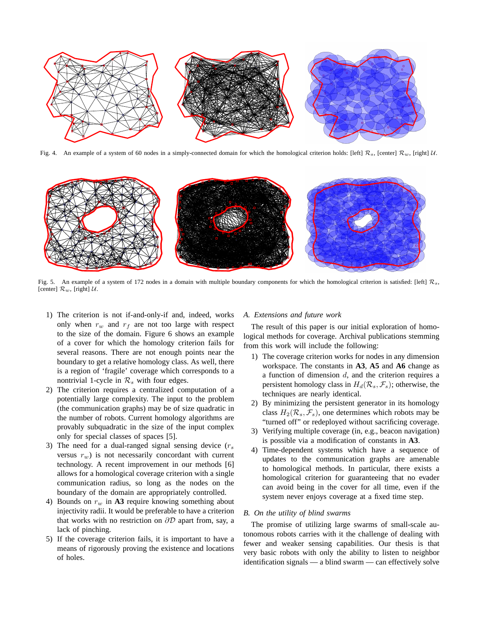

Fig. 4. An example of a system of 60 nodes in a simply-connected domain for which the homological criterion holds: [left]  $\mathcal{R}_s$ , [center]  $\mathcal{R}_w$ , [right]  $\mathcal{U}$ .



Fig. 5. An example of a system of 172 nodes in a domain with multiple boundary components for which the homological criterion is satisfied: [left]  $\mathcal{R}_s$ , [center]  $\mathcal{R}_w$ , [right]  $\mathcal{U}$ .

- 1) The criterion is not if-and-only-if and, indeed, works only when  $r_w$  and  $r_f$  are not too large with respect to the size of the domain. Figure 6 shows an example of a cover for which the homology criterion fails for several reasons. There are not enough points near the boundary to get a relative homology class. As well, there is a region of 'fragile' coverage which corresponds to a nontrivial 1-cycle in  $\mathcal{R}_s$  with four edges.
- 2) The criterion requires a centralized computation of a potentially large complexity. The input to the problem (the communication graphs) may be of size quadratic in the number of robots. Current homology algorithms are provably subquadratic in the size of the input complex only for special classes of spaces [5].
- 3) The need for a dual-ranged signal sensing device  $(r<sub>s</sub>)$ versus  $r_w$ ) is not necessarily concordant with current technology. A recent improvement in our methods [6] allows for a homological coverage criterion with a single communication radius, so long as the nodes on the boundary of the domain are appropriately controlled.
- 4) Bounds on  $r_w$  in  $\Lambda$ 3 require knowing something about injectivity radii. It would be preferable to have a criterion that works with no restriction on  $\partial \mathcal{D}$  apart from, say, a lack of pinching.
- 5) If the coverage criterion fails, it is important to have a means of rigorously proving the existence and locations of holes.

# *A. Extensions and future work*

The result of this paper is our initial exploration of homological methods for coverage. Archival publications stemming from this work will include the following:

- 1) The coverage criterion works for nodes in any dimension workspace. The constants in **A3**, **A5** and **A6** change as a function of dimension  $d$ , and the criterion requires a persistent homology class in  $H_d(\mathcal{R}_s, \mathcal{F}_s)$ ; otherwise, the techniques are nearly identical.
- 2) By minimizing the persistent generator in its homology class  $H_2(\mathcal{R}_s, \mathcal{F}_s)$ , one determines which robots may be "turned off" or redeployed without sacrificing coverage.
- 3) Verifying multiple coverage (in, e.g., beacon navigation) is possible via a modification of constants in **A3**.
- 4) Time-dependent systems which have a sequence of updates to the communication graphs are amenable to homological methods. In particular, there exists a homological criterion for guaranteeing that no evader can avoid being in the cover for all time, even if the system never enjoys coverage at a fixed time step.

# *B. On the utility of blind swarms*

The promise of utilizing large swarms of small-scale autonomous robots carries with it the challenge of dealing with fewer and weaker sensing capabilities. Our thesis is that very basic robots with only the ability to listen to neighbor identification signals — a blind swarm — can effectively solve